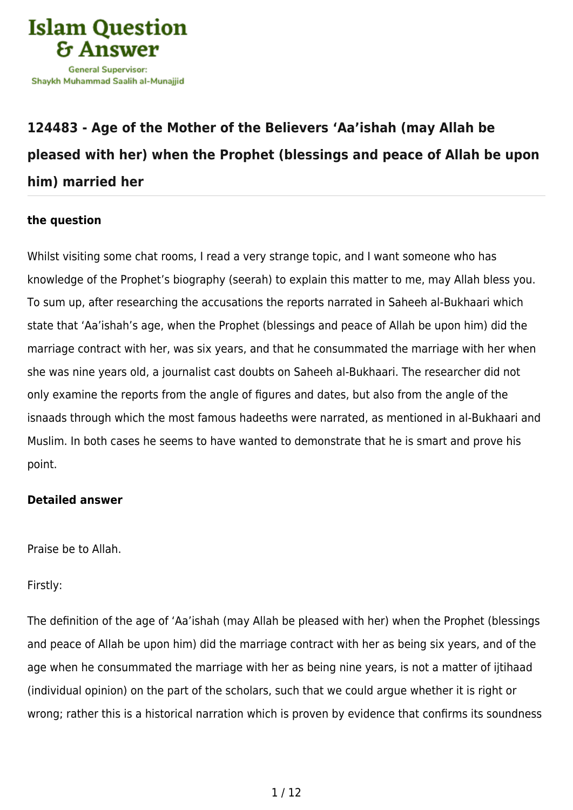

# **[124483 - Age of the Mother of the Believers 'Aa'ishah \(may Allah be](https://islamqa.com/en/answers/124483/age-of-the-mother-of-the-believers-aaishah-may-allah-be-pleased-with-her-when-the-prophet-blessings-and-peace-of-allah-be-upon-him-married-her) [pleased with her\) when the Prophet \(blessings and peace of Allah be upon](https://islamqa.com/en/answers/124483/age-of-the-mother-of-the-believers-aaishah-may-allah-be-pleased-with-her-when-the-prophet-blessings-and-peace-of-allah-be-upon-him-married-her) [him\) married her](https://islamqa.com/en/answers/124483/age-of-the-mother-of-the-believers-aaishah-may-allah-be-pleased-with-her-when-the-prophet-blessings-and-peace-of-allah-be-upon-him-married-her)**

## **the question**

Whilst visiting some chat rooms, I read a very strange topic, and I want someone who has knowledge of the Prophet's biography (seerah) to explain this matter to me, may Allah bless you. To sum up, after researching the accusations the reports narrated in Saheeh al-Bukhaari which state that 'Aa'ishah's age, when the Prophet (blessings and peace of Allah be upon him) did the marriage contract with her, was six years, and that he consummated the marriage with her when she was nine years old, a journalist cast doubts on Saheeh al-Bukhaari. The researcher did not only examine the reports from the angle of figures and dates, but also from the angle of the isnaads through which the most famous hadeeths were narrated, as mentioned in al-Bukhaari and Muslim. In both cases he seems to have wanted to demonstrate that he is smart and prove his point.

## **Detailed answer**

Praise be to Allah.

Firstly:

The definition of the age of 'Aa'ishah (may Allah be pleased with her) when the Prophet (blessings and peace of Allah be upon him) did the marriage contract with her as being six years, and of the age when he consummated the marriage with her as being nine years, is not a matter of ijtihaad (individual opinion) on the part of the scholars, such that we could argue whether it is right or wrong; rather this is a historical narration which is proven by evidence that confirms its soundness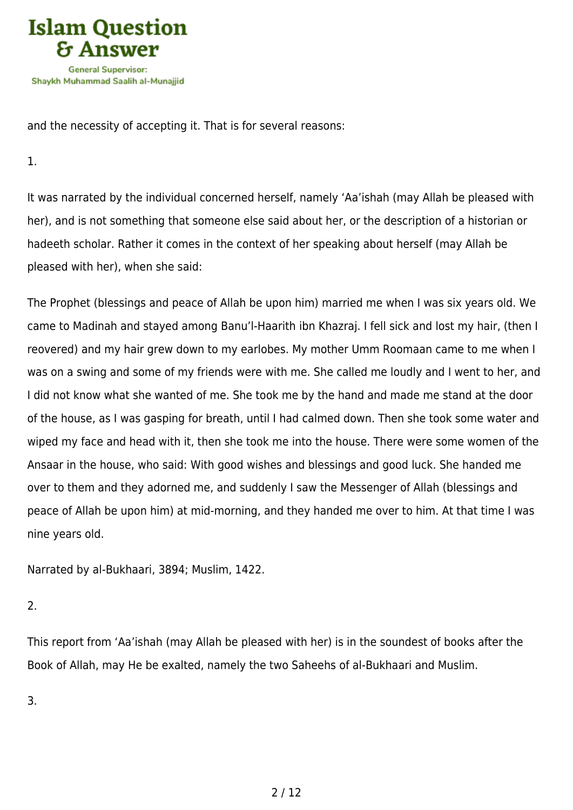

and the necessity of accepting it. That is for several reasons:

1.

It was narrated by the individual concerned herself, namely 'Aa'ishah (may Allah be pleased with her), and is not something that someone else said about her, or the description of a historian or hadeeth scholar. Rather it comes in the context of her speaking about herself (may Allah be pleased with her), when she said:

The Prophet (blessings and peace of Allah be upon him) married me when I was six years old. We came to Madinah and stayed among Banu'l-Haarith ibn Khazraj. I fell sick and lost my hair, (then I reovered) and my hair grew down to my earlobes. My mother Umm Roomaan came to me when I was on a swing and some of my friends were with me. She called me loudly and I went to her, and I did not know what she wanted of me. She took me by the hand and made me stand at the door of the house, as I was gasping for breath, until I had calmed down. Then she took some water and wiped my face and head with it, then she took me into the house. There were some women of the Ansaar in the house, who said: With good wishes and blessings and good luck. She handed me over to them and they adorned me, and suddenly I saw the Messenger of Allah (blessings and peace of Allah be upon him) at mid-morning, and they handed me over to him. At that time I was nine years old.

Narrated by al-Bukhaari, 3894; Muslim, 1422.

2.

This report from 'Aa'ishah (may Allah be pleased with her) is in the soundest of books after the Book of Allah, may He be exalted, namely the two Saheehs of al-Bukhaari and Muslim.

3.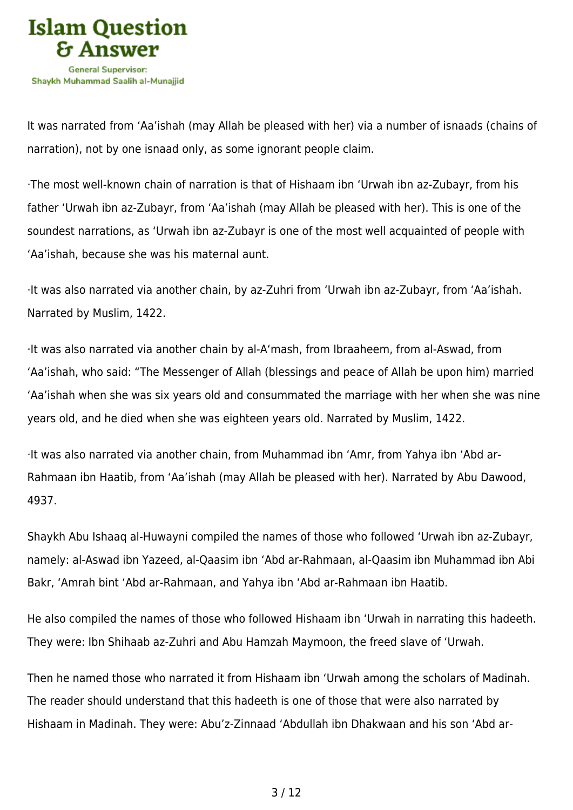

It was narrated from 'Aa'ishah (may Allah be pleased with her) via a number of isnaads (chains of narration), not by one isnaad only, as some ignorant people claim.

·The most well-known chain of narration is that of Hishaam ibn 'Urwah ibn az-Zubayr, from his father 'Urwah ibn az-Zubayr, from 'Aa'ishah (may Allah be pleased with her). This is one of the soundest narrations, as 'Urwah ibn az-Zubayr is one of the most well acquainted of people with 'Aa'ishah, because she was his maternal aunt.

·It was also narrated via another chain, by az-Zuhri from 'Urwah ibn az-Zubayr, from 'Aa'ishah. Narrated by Muslim, 1422.

·It was also narrated via another chain by al-A'mash, from Ibraaheem, from al-Aswad, from 'Aa'ishah, who said: "The Messenger of Allah (blessings and peace of Allah be upon him) married 'Aa'ishah when she was six years old and consummated the marriage with her when she was nine years old, and he died when she was eighteen years old. Narrated by Muslim, 1422.

·It was also narrated via another chain, from Muhammad ibn 'Amr, from Yahya ibn 'Abd ar-Rahmaan ibn Haatib, from 'Aa'ishah (may Allah be pleased with her). Narrated by Abu Dawood, 4937.

Shaykh Abu Ishaaq al-Huwayni compiled the names of those who followed 'Urwah ibn az-Zubayr, namely: al-Aswad ibn Yazeed, al-Qaasim ibn 'Abd ar-Rahmaan, al-Qaasim ibn Muhammad ibn Abi Bakr, 'Amrah bint 'Abd ar-Rahmaan, and Yahya ibn 'Abd ar-Rahmaan ibn Haatib.

He also compiled the names of those who followed Hishaam ibn 'Urwah in narrating this hadeeth. They were: Ibn Shihaab az-Zuhri and Abu Hamzah Maymoon, the freed slave of 'Urwah.

Then he named those who narrated it from Hishaam ibn 'Urwah among the scholars of Madinah. The reader should understand that this hadeeth is one of those that were also narrated by Hishaam in Madinah. They were: Abu'z-Zinnaad 'Abdullah ibn Dhakwaan and his son 'Abd ar-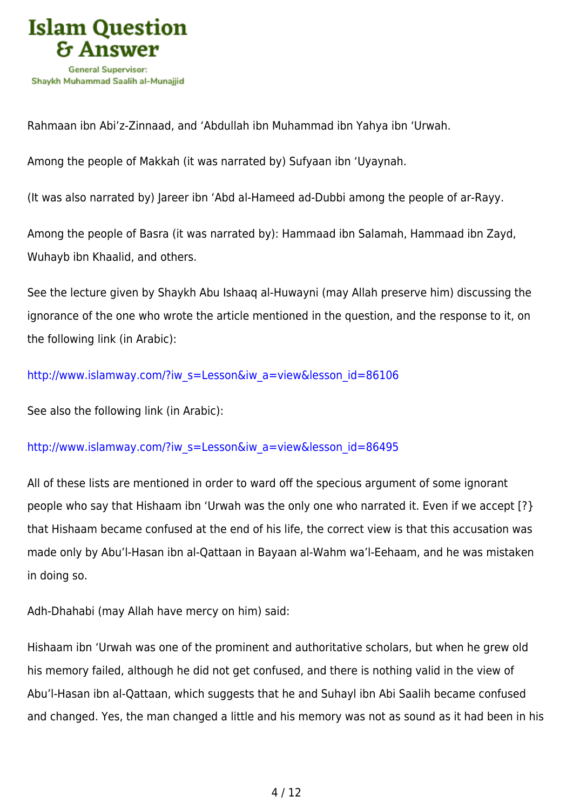

Rahmaan ibn Abi'z-Zinnaad, and 'Abdullah ibn Muhammad ibn Yahya ibn 'Urwah.

Among the people of Makkah (it was narrated by) Sufyaan ibn 'Uyaynah.

(It was also narrated by) Jareer ibn 'Abd al-Hameed ad-Dubbi among the people of ar-Rayy.

Among the people of Basra (it was narrated by): Hammaad ibn Salamah, Hammaad ibn Zayd, Wuhayb ibn Khaalid, and others.

See the lecture given by Shaykh Abu Ishaaq al-Huwayni (may Allah preserve him) discussing the ignorance of the one who wrote the article mentioned in the question, and the response to it, on the following link (in Arabic):

[http://www.islamway.com/?iw\\_s=Lesson&iw\\_a=view&lesson\\_id=86106](http://www.islamway.com/?iw_s=Lesson&iw_a=view&lesson_id=86106)

See also the following link (in Arabic):

## [http://www.islamway.com/?iw\\_s=Lesson&iw\\_a=view&lesson\\_id=86495](http://www.islamway.com/?iw_s=Lesson&iw_a=view&lesson_id=86495)

All of these lists are mentioned in order to ward off the specious argument of some ignorant people who say that Hishaam ibn 'Urwah was the only one who narrated it. Even if we accept [?} that Hishaam became confused at the end of his life, the correct view is that this accusation was made only by Abu'l-Hasan ibn al-Qattaan in Bayaan al-Wahm wa'l-Eehaam, and he was mistaken in doing so.

Adh-Dhahabi (may Allah have mercy on him) said:

Hishaam ibn 'Urwah was one of the prominent and authoritative scholars, but when he grew old his memory failed, although he did not get confused, and there is nothing valid in the view of Abu'l-Hasan ibn al-Qattaan, which suggests that he and Suhayl ibn Abi Saalih became confused and changed. Yes, the man changed a little and his memory was not as sound as it had been in his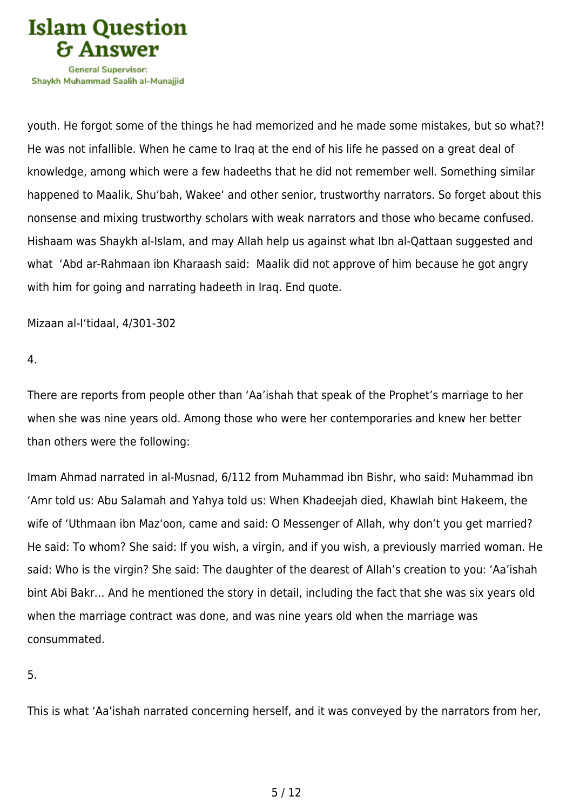

youth. He forgot some of the things he had memorized and he made some mistakes, but so what?! He was not infallible. When he came to Iraq at the end of his life he passed on a great deal of knowledge, among which were a few hadeeths that he did not remember well. Something similar happened to Maalik, Shu'bah, Wakee' and other senior, trustworthy narrators. So forget about this nonsense and mixing trustworthy scholars with weak narrators and those who became confused. Hishaam was Shaykh al-Islam, and may Allah help us against what Ibn al-Qattaan suggested and what 'Abd ar-Rahmaan ibn Kharaash said: Maalik did not approve of him because he got angry with him for going and narrating hadeeth in Iraq. End quote.

Mizaan al-I'tidaal, 4/301-302

4.

There are reports from people other than 'Aa'ishah that speak of the Prophet's marriage to her when she was nine years old. Among those who were her contemporaries and knew her better than others were the following:

Imam Ahmad narrated in al-Musnad, 6/112 from Muhammad ibn Bishr, who said: Muhammad ibn 'Amr told us: Abu Salamah and Yahya told us: When Khadeejah died, Khawlah bint Hakeem, the wife of 'Uthmaan ibn Maz'oon, came and said: O Messenger of Allah, why don't you get married? He said: To whom? She said: If you wish, a virgin, and if you wish, a previously married woman. He said: Who is the virgin? She said: The daughter of the dearest of Allah's creation to you: 'Aa'ishah bint Abi Bakr… And he mentioned the story in detail, including the fact that she was six years old when the marriage contract was done, and was nine years old when the marriage was consummated.

5.

This is what 'Aa'ishah narrated concerning herself, and it was conveyed by the narrators from her,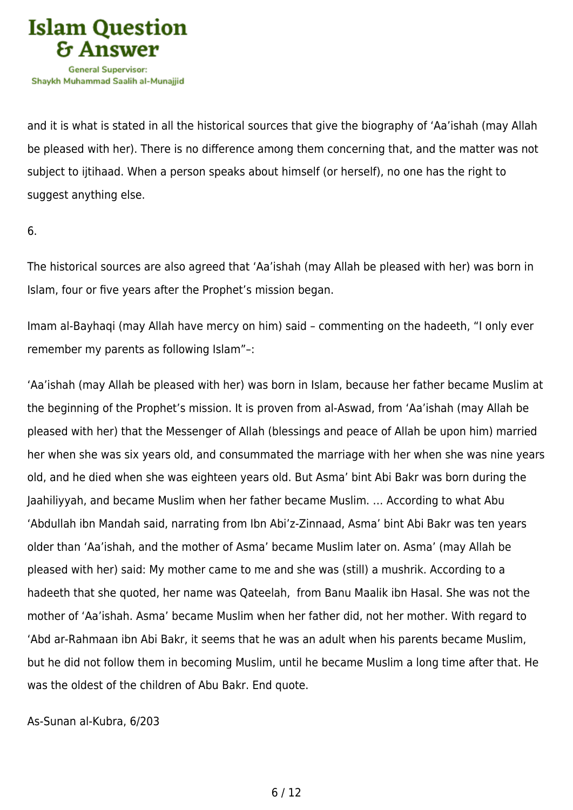

and it is what is stated in all the historical sources that give the biography of 'Aa'ishah (may Allah be pleased with her). There is no difference among them concerning that, and the matter was not subject to ijtihaad. When a person speaks about himself (or herself), no one has the right to suggest anything else.

6.

The historical sources are also agreed that 'Aa'ishah (may Allah be pleased with her) was born in Islam, four or five years after the Prophet's mission began.

Imam al-Bayhaqi (may Allah have mercy on him) said – commenting on the hadeeth, "I only ever remember my parents as following Islam"–:

'Aa'ishah (may Allah be pleased with her) was born in Islam, because her father became Muslim at the beginning of the Prophet's mission. It is proven from al-Aswad, from 'Aa'ishah (may Allah be pleased with her) that the Messenger of Allah (blessings and peace of Allah be upon him) married her when she was six years old, and consummated the marriage with her when she was nine years old, and he died when she was eighteen years old. But Asma' bint Abi Bakr was born during the Jaahiliyyah, and became Muslim when her father became Muslim. … According to what Abu 'Abdullah ibn Mandah said, narrating from Ibn Abi'z-Zinnaad, Asma' bint Abi Bakr was ten years older than 'Aa'ishah, and the mother of Asma' became Muslim later on. Asma' (may Allah be pleased with her) said: My mother came to me and she was (still) a mushrik. According to a hadeeth that she quoted, her name was Qateelah, from Banu Maalik ibn Hasal. She was not the mother of 'Aa'ishah. Asma' became Muslim when her father did, not her mother. With regard to 'Abd ar-Rahmaan ibn Abi Bakr, it seems that he was an adult when his parents became Muslim, but he did not follow them in becoming Muslim, until he became Muslim a long time after that. He was the oldest of the children of Abu Bakr. End quote.

As-Sunan al-Kubra, 6/203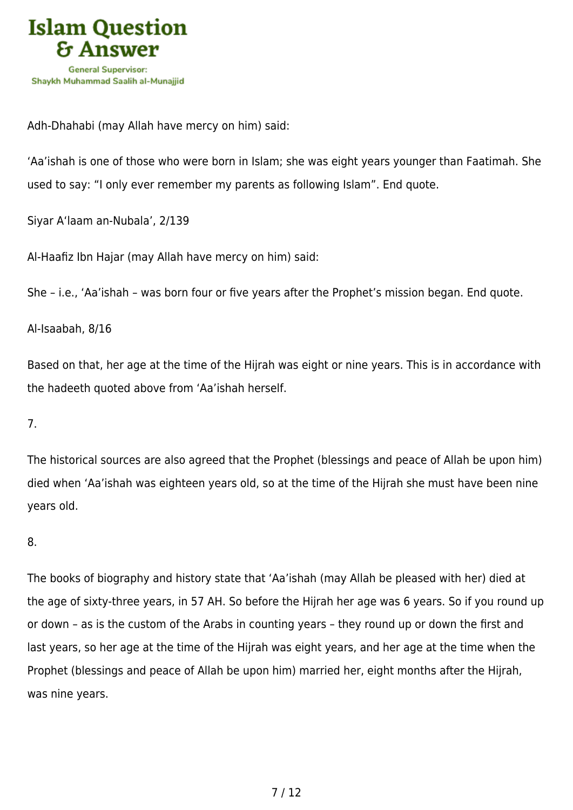

Adh-Dhahabi (may Allah have mercy on him) said:

'Aa'ishah is one of those who were born in Islam; she was eight years younger than Faatimah. She used to say: "I only ever remember my parents as following Islam". End quote.

Siyar A'laam an-Nubala', 2/139

Al-Haafiz Ibn Hajar (may Allah have mercy on him) said:

She – i.e., 'Aa'ishah – was born four or five years after the Prophet's mission began. End quote.

## Al-Isaabah, 8/16

Based on that, her age at the time of the Hijrah was eight or nine years. This is in accordance with the hadeeth quoted above from 'Aa'ishah herself.

7.

The historical sources are also agreed that the Prophet (blessings and peace of Allah be upon him) died when 'Aa'ishah was eighteen years old, so at the time of the Hijrah she must have been nine years old.

8.

The books of biography and history state that 'Aa'ishah (may Allah be pleased with her) died at the age of sixty-three years, in 57 AH. So before the Hijrah her age was 6 years. So if you round up or down – as is the custom of the Arabs in counting years – they round up or down the first and last years, so her age at the time of the Hijrah was eight years, and her age at the time when the Prophet (blessings and peace of Allah be upon him) married her, eight months after the Hijrah, was nine years.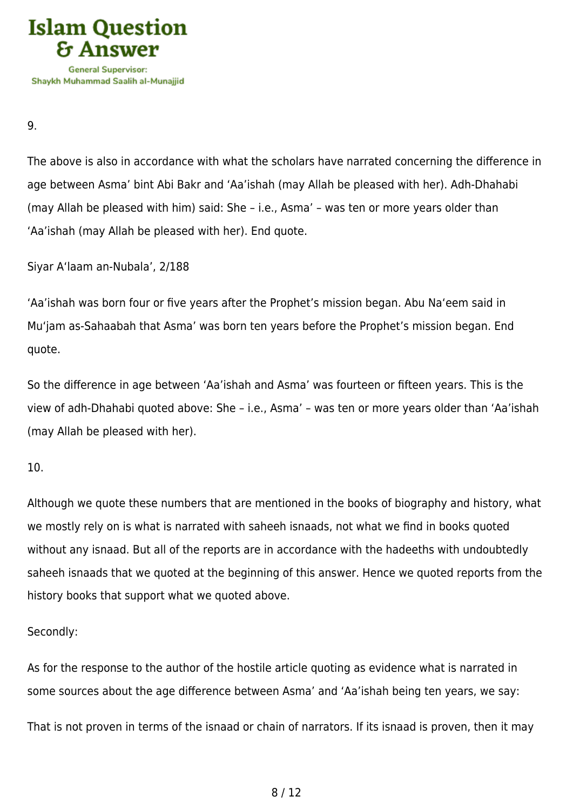

9.

The above is also in accordance with what the scholars have narrated concerning the difference in age between Asma' bint Abi Bakr and 'Aa'ishah (may Allah be pleased with her). Adh-Dhahabi (may Allah be pleased with him) said: She – i.e., Asma' – was ten or more years older than 'Aa'ishah (may Allah be pleased with her). End quote.

Siyar A'laam an-Nubala', 2/188

'Aa'ishah was born four or five years after the Prophet's mission began. Abu Na'eem said in Mu'jam as-Sahaabah that Asma' was born ten years before the Prophet's mission began. End quote.

So the difference in age between 'Aa'ishah and Asma' was fourteen or fifteen years. This is the view of adh-Dhahabi quoted above: She – i.e., Asma' – was ten or more years older than 'Aa'ishah (may Allah be pleased with her).

## 10.

Although we quote these numbers that are mentioned in the books of biography and history, what we mostly rely on is what is narrated with saheeh isnaads, not what we find in books quoted without any isnaad. But all of the reports are in accordance with the hadeeths with undoubtedly saheeh isnaads that we quoted at the beginning of this answer. Hence we quoted reports from the history books that support what we quoted above.

## Secondly:

As for the response to the author of the hostile article quoting as evidence what is narrated in some sources about the age difference between Asma' and 'Aa'ishah being ten years, we say:

That is not proven in terms of the isnaad or chain of narrators. If its isnaad is proven, then it may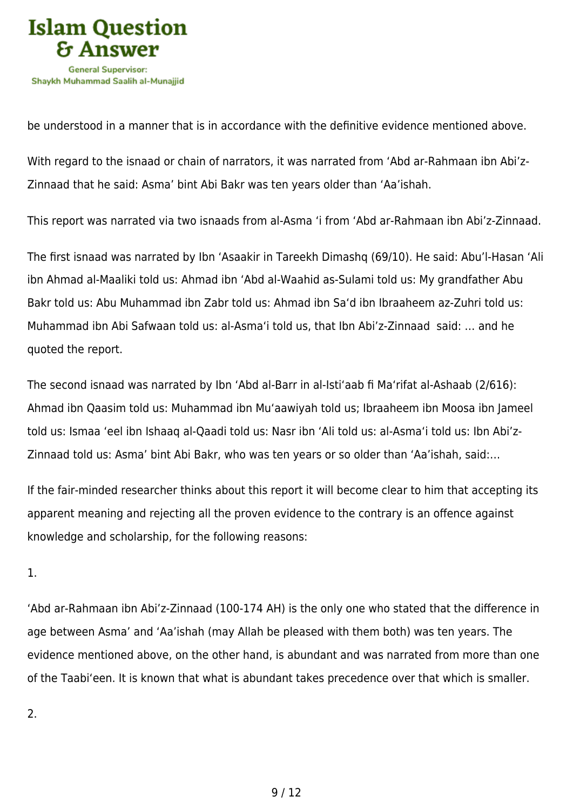

be understood in a manner that is in accordance with the definitive evidence mentioned above.

With regard to the isnaad or chain of narrators, it was narrated from 'Abd ar-Rahmaan ibn Abi'z-Zinnaad that he said: Asma' bint Abi Bakr was ten years older than 'Aa'ishah.

This report was narrated via two isnaads from al-Asma 'i from 'Abd ar-Rahmaan ibn Abi'z-Zinnaad.

The first isnaad was narrated by Ibn 'Asaakir in Tareekh Dimashq (69/10). He said: Abu'l-Hasan 'Ali ibn Ahmad al-Maaliki told us: Ahmad ibn 'Abd al-Waahid as-Sulami told us: My grandfather Abu Bakr told us: Abu Muhammad ibn Zabr told us: Ahmad ibn Sa'd ibn Ibraaheem az-Zuhri told us: Muhammad ibn Abi Safwaan told us: al-Asma'i told us, that Ibn Abi'z-Zinnaad said: … and he quoted the report.

The second isnaad was narrated by Ibn 'Abd al-Barr in al-Isti'aab fi Ma'rifat al-Ashaab (2/616): Ahmad ibn Qaasim told us: Muhammad ibn Mu'aawiyah told us; Ibraaheem ibn Moosa ibn Jameel told us: Ismaa 'eel ibn Ishaaq al-Qaadi told us: Nasr ibn 'Ali told us: al-Asma'i told us: Ibn Abi'z-Zinnaad told us: Asma' bint Abi Bakr, who was ten years or so older than 'Aa'ishah, said:…

If the fair-minded researcher thinks about this report it will become clear to him that accepting its apparent meaning and rejecting all the proven evidence to the contrary is an offence against knowledge and scholarship, for the following reasons:

1.

'Abd ar-Rahmaan ibn Abi'z-Zinnaad (100-174 AH) is the only one who stated that the difference in age between Asma' and 'Aa'ishah (may Allah be pleased with them both) was ten years. The evidence mentioned above, on the other hand, is abundant and was narrated from more than one of the Taabi'een. It is known that what is abundant takes precedence over that which is smaller.

2.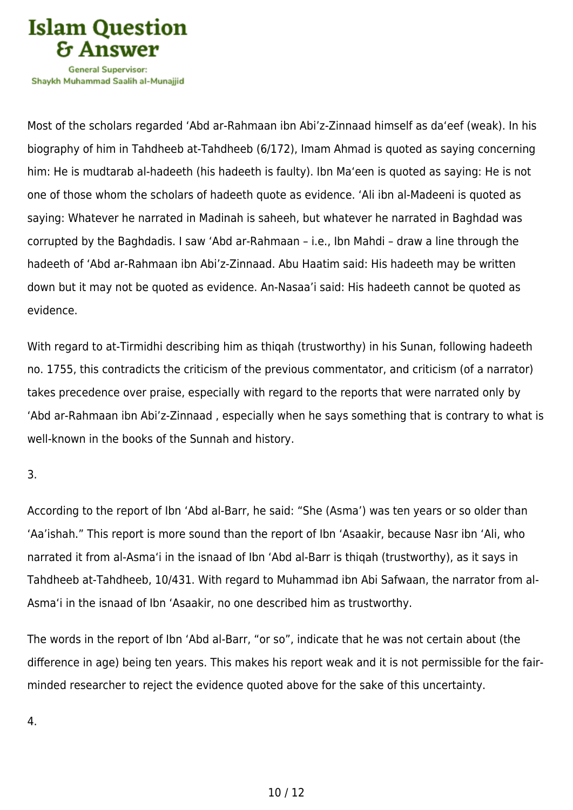

Most of the scholars regarded 'Abd ar-Rahmaan ibn Abi'z-Zinnaad himself as da'eef (weak). In his biography of him in Tahdheeb at-Tahdheeb (6/172), Imam Ahmad is quoted as saying concerning him: He is mudtarab al-hadeeth (his hadeeth is faulty). Ibn Ma'een is quoted as saying: He is not one of those whom the scholars of hadeeth quote as evidence. 'Ali ibn al-Madeeni is quoted as saying: Whatever he narrated in Madinah is saheeh, but whatever he narrated in Baghdad was corrupted by the Baghdadis. I saw 'Abd ar-Rahmaan – i.e., Ibn Mahdi – draw a line through the hadeeth of 'Abd ar-Rahmaan ibn Abi'z-Zinnaad. Abu Haatim said: His hadeeth may be written down but it may not be quoted as evidence. An-Nasaa'i said: His hadeeth cannot be quoted as evidence.

With regard to at-Tirmidhi describing him as thiqah (trustworthy) in his Sunan, following hadeeth no. 1755, this contradicts the criticism of the previous commentator, and criticism (of a narrator) takes precedence over praise, especially with regard to the reports that were narrated only by 'Abd ar-Rahmaan ibn Abi'z-Zinnaad , especially when he says something that is contrary to what is well-known in the books of the Sunnah and history.

3.

According to the report of Ibn 'Abd al-Barr, he said: "She (Asma') was ten years or so older than 'Aa'ishah." This report is more sound than the report of Ibn 'Asaakir, because Nasr ibn 'Ali, who narrated it from al-Asma'i in the isnaad of Ibn 'Abd al-Barr is thiqah (trustworthy), as it says in Tahdheeb at-Tahdheeb, 10/431. With regard to Muhammad ibn Abi Safwaan, the narrator from al-Asma'i in the isnaad of Ibn 'Asaakir, no one described him as trustworthy.

The words in the report of Ibn 'Abd al-Barr, "or so", indicate that he was not certain about (the difference in age) being ten years. This makes his report weak and it is not permissible for the fairminded researcher to reject the evidence quoted above for the sake of this uncertainty.

4.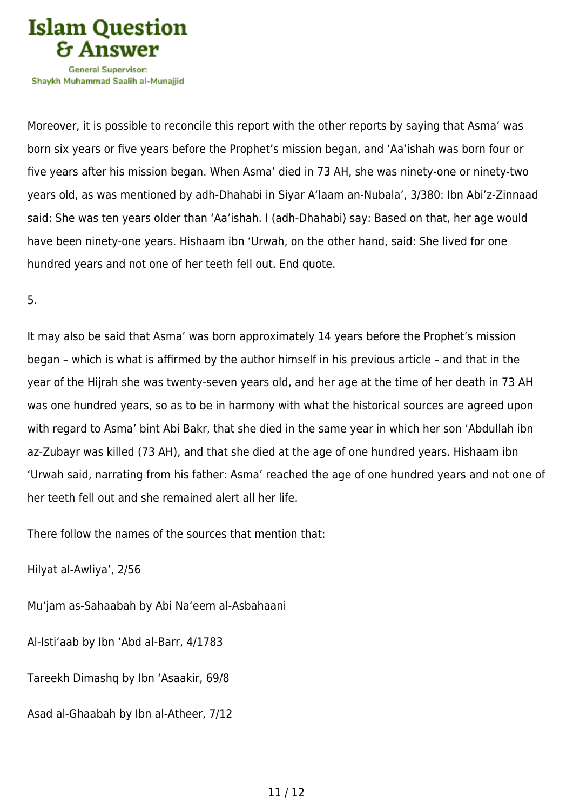

Moreover, it is possible to reconcile this report with the other reports by saying that Asma' was born six years or five years before the Prophet's mission began, and 'Aa'ishah was born four or five years after his mission began. When Asma' died in 73 AH, she was ninety-one or ninety-two years old, as was mentioned by adh-Dhahabi in Siyar A'laam an-Nubala', 3/380: Ibn Abi'z-Zinnaad said: She was ten years older than 'Aa'ishah. I (adh-Dhahabi) say: Based on that, her age would have been ninety-one years. Hishaam ibn 'Urwah, on the other hand, said: She lived for one hundred years and not one of her teeth fell out. End quote.

5.

It may also be said that Asma' was born approximately 14 years before the Prophet's mission began – which is what is affirmed by the author himself in his previous article – and that in the year of the Hijrah she was twenty-seven years old, and her age at the time of her death in 73 AH was one hundred years, so as to be in harmony with what the historical sources are agreed upon with regard to Asma' bint Abi Bakr, that she died in the same year in which her son 'Abdullah ibn az-Zubayr was killed (73 AH), and that she died at the age of one hundred years. Hishaam ibn 'Urwah said, narrating from his father: Asma' reached the age of one hundred years and not one of her teeth fell out and she remained alert all her life.

There follow the names of the sources that mention that:

Hilyat al-Awliya', 2/56

Mu'jam as-Sahaabah by Abi Na'eem al-Asbahaani

Al-Isti'aab by Ibn 'Abd al-Barr, 4/1783

Tareekh Dimashq by Ibn 'Asaakir, 69/8

Asad al-Ghaabah by Ibn al-Atheer, 7/12